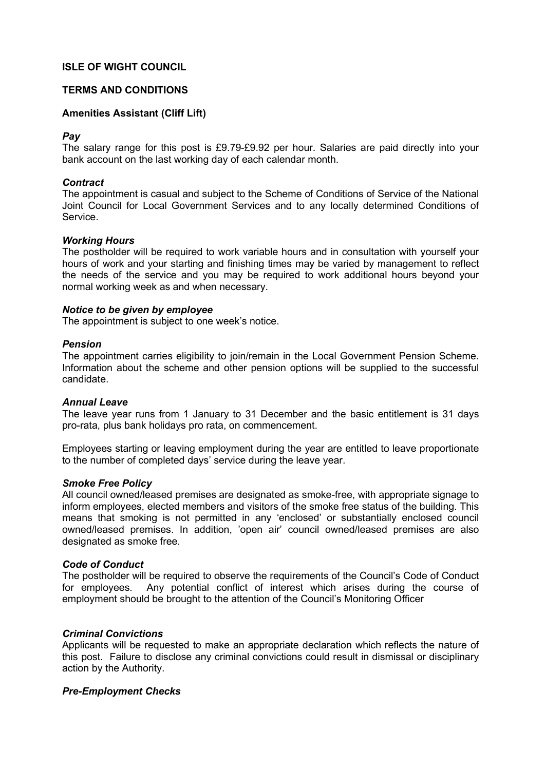# ISLE OF WIGHT COUNCIL

# TERMS AND CONDITIONS

# Amenities Assistant (Cliff Lift)

## Pay

The salary range for this post is £9.79-£9.92 per hour. Salaries are paid directly into your bank account on the last working day of each calendar month.

# **Contract**

The appointment is casual and subject to the Scheme of Conditions of Service of the National Joint Council for Local Government Services and to any locally determined Conditions of Service.

## Working Hours

The postholder will be required to work variable hours and in consultation with yourself your hours of work and your starting and finishing times may be varied by management to reflect the needs of the service and you may be required to work additional hours beyond your normal working week as and when necessary.

## Notice to be given by employee

The appointment is subject to one week's notice.

## Pension

The appointment carries eligibility to join/remain in the Local Government Pension Scheme. Information about the scheme and other pension options will be supplied to the successful candidate.

## Annual Leave

The leave year runs from 1 January to 31 December and the basic entitlement is 31 days pro-rata, plus bank holidays pro rata, on commencement.

Employees starting or leaving employment during the year are entitled to leave proportionate to the number of completed days' service during the leave year.

## Smoke Free Policy

All council owned/leased premises are designated as smoke-free, with appropriate signage to inform employees, elected members and visitors of the smoke free status of the building. This means that smoking is not permitted in any 'enclosed' or substantially enclosed council owned/leased premises. In addition, 'open air' council owned/leased premises are also designated as smoke free.

# Code of Conduct

The postholder will be required to observe the requirements of the Council's Code of Conduct for employees. Any potential conflict of interest which arises during the course of employment should be brought to the attention of the Council's Monitoring Officer

## Criminal Convictions

Applicants will be requested to make an appropriate declaration which reflects the nature of this post. Failure to disclose any criminal convictions could result in dismissal or disciplinary action by the Authority.

## Pre-Employment Checks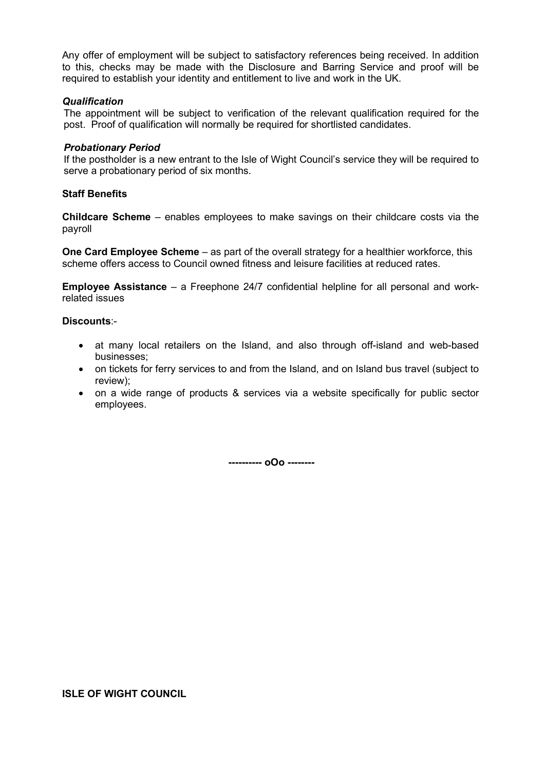Any offer of employment will be subject to satisfactory references being received. In addition to this, checks may be made with the Disclosure and Barring Service and proof will be required to establish your identity and entitlement to live and work in the UK.

## **Qualification**

The appointment will be subject to verification of the relevant qualification required for the post. Proof of qualification will normally be required for shortlisted candidates.

# Probationary Period

If the postholder is a new entrant to the Isle of Wight Council's service they will be required to serve a probationary period of six months.

# Staff Benefits

Childcare Scheme – enables employees to make savings on their childcare costs via the payroll

One Card Employee Scheme – as part of the overall strategy for a healthier workforce, this scheme offers access to Council owned fitness and leisure facilities at reduced rates.

Employee Assistance – a Freephone 24/7 confidential helpline for all personal and workrelated issues

# Discounts:-

- at many local retailers on the Island, and also through off-island and web-based businesses;
- on tickets for ferry services to and from the Island, and on Island bus travel (subject to review);
- on a wide range of products & services via a website specifically for public sector employees.

---------- oOo --------

## ISLE OF WIGHT COUNCIL